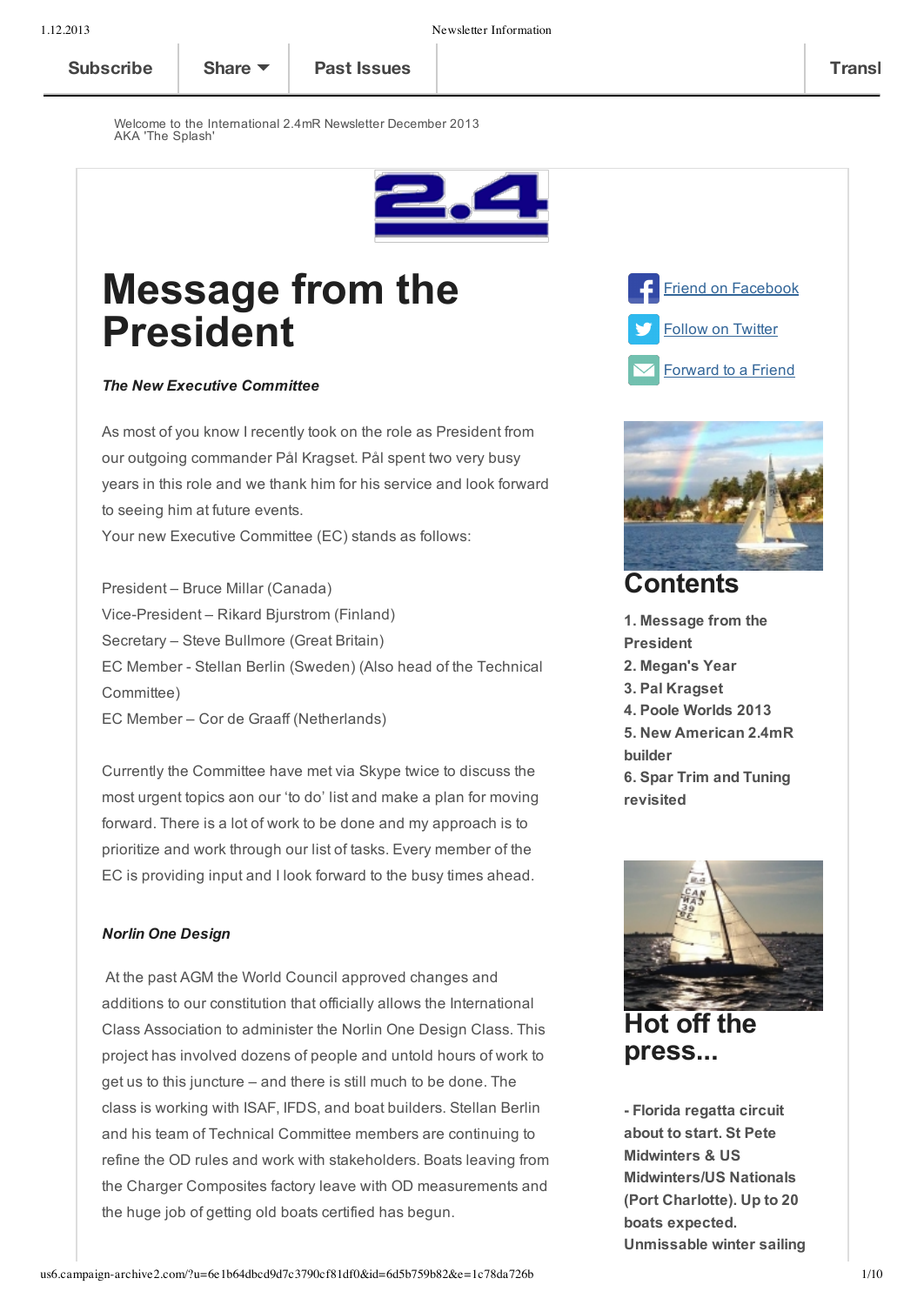Welcome to the International 2.4mR Newsletter December 2013 AKA 'The Splash'



# **Message from the President**

#### *The New Executive Committee*

As most of you know I recently took on the role as President from our outgoing commander Pål Kragset. Pål spent two very busy years in this role and we thank him for his service and look forward to seeing him at future events. Your new Executive Committee (EC) stands as follows:

President – Bruce Millar (Canada) Vice-President – Rikard Bjurstrom (Finland) Secretary – Steve Bullmore (Great Britain) EC Member - Stellan Berlin (Sweden) (Also head of the Technical Committee) EC Member – Cor de Graaff (Netherlands)

Currently the Committee have met via Skype twice to discuss the most urgent topics aon our 'to do' list and make a plan for moving forward. There is a lot of work to be done and my approach is to prioritize and work through our list of tasks. Every member of the EC is providing input and I look forward to the busy times ahead.

#### *Norlin One Design*

At the past AGM the World Council approved changes and additions to our constitution that officially allows the International Class Association to administer the Norlin One Design Class. This project has involved dozens of people and untold hours of work to get us to this juncture – and there is still much to be done. The class is working with ISAF, IFDS, and boat builders. Stellan Berlin and his team of Technical Committee members are continuing to refine the OD rules and work with stakeholders. Boats leaving from the Charger Composites factory leave with OD measurements and the huge job of getting old boats certified has begun.







# **Contents**

**1. Message from the President 2. Megan's Year 3. Pal Kragset 4. Poole Worlds 2013 5. New American 2.4mR builder 6. Spar Trim and Tuning revisited**



**Hot off the press...**

 **Florida regatta circuit about to start. St Pete Midwinters & US Midwinters/US Nationals (Port Charlotte). Up to 20 boats expected. Unmissable winter sailing**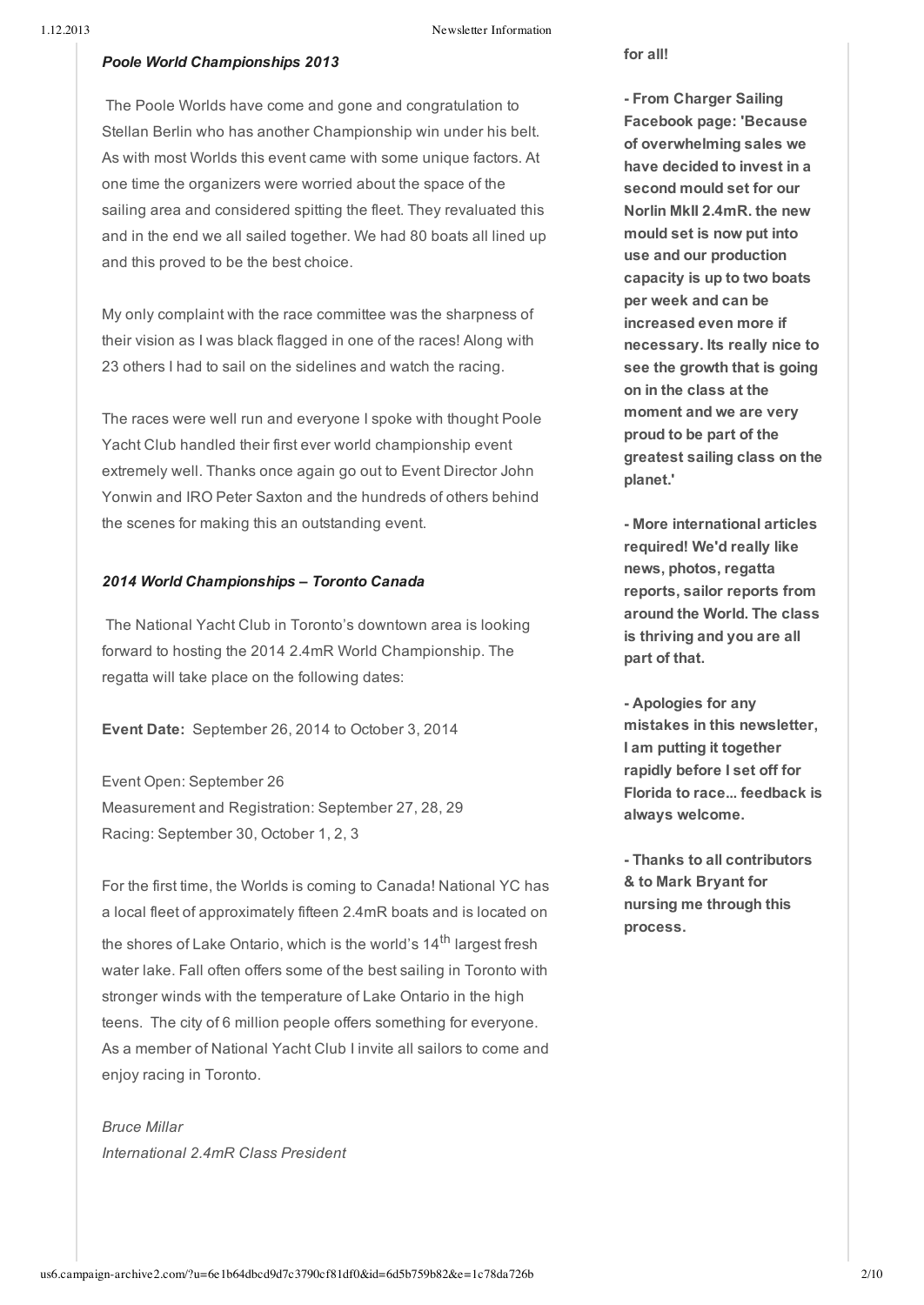#### 1.12.2013 Newsletter Information

#### *Poole World Championships 2013*

The Poole Worlds have come and gone and congratulation to Stellan Berlin who has another Championship win under his belt. As with most Worlds this event came with some unique factors. At one time the organizers were worried about the space of the sailing area and considered spitting the fleet. They revaluated this and in the end we all sailed together. We had 80 boats all lined up and this proved to be the best choice.

My only complaint with the race committee was the sharpness of their vision as I was black flagged in one of the races! Along with 23 others I had to sail on the sidelines and watch the racing.

The races were well run and everyone I spoke with thought Poole Yacht Club handled their first ever world championship event extremely well. Thanks once again go out to Event Director John Yonwin and IRO Peter Saxton and the hundreds of others behind the scenes for making this an outstanding event.

#### *2014 World Championships – Toronto Canada*

The National Yacht Club in Toronto's downtown area is looking forward to hosting the 2014 2.4mR World Championship. The regatta will take place on the following dates:

**Event Date:** September 26, 2014 to October 3, 2014

Event Open: September 26 Measurement and Registration: September 27, 28, 29 Racing: September 30, October 1, 2, 3

For the first time, the Worlds is coming to Canada! National YC has a local fleet of approximately fifteen 2.4mR boats and is located on the shores of Lake Ontario, which is the world's 14<sup>th</sup> largest fresh water lake. Fall often offers some of the best sailing in Toronto with stronger winds with the temperature of Lake Ontario in the high teens. The city of 6 million people offers something for everyone. As a member of National Yacht Club I invite all sailors to come and enjoy racing in Toronto.

*Bruce Millar International 2.4mR Class President* **for all!**

 **From Charger Sailing Facebook page: 'Because of overwhelming sales we have decided to invest in a second mould set for our Norlin MkII 2.4mR. the new mould set is now put into use and our production capacity is up to two boats per week and can be increased even more if necessary. Its really nice to see the growth that is going on in the class at the moment and we are very proud to be part of the greatest sailing class on the planet.'**

 **More international articles required! We'd really like news, photos, regatta reports, sailor reports from around the World. The class is thriving and you are all part of that.**

 **Apologies for any mistakes in this newsletter, I am putting it together rapidly before I set off for Florida to race... feedback is always welcome.**

 **Thanks to all contributors & to Mark Bryant for nursing me through this process.**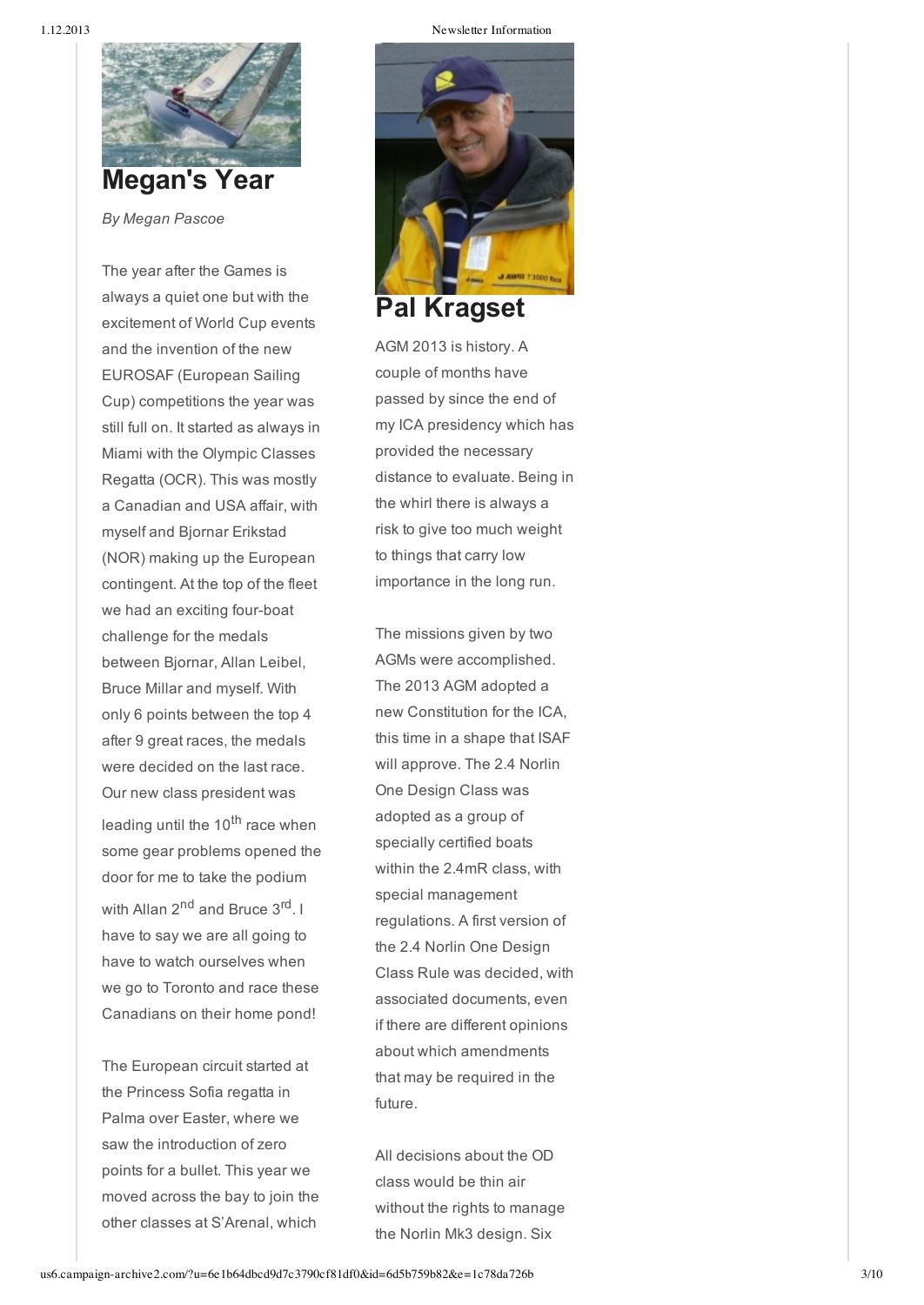

*By Megan Pascoe*

The year after the Games is always a quiet one but with the excitement of World Cup events and the invention of the new EUROSAF (European Sailing Cup) competitions the year was still full on. It started as always in Miami with the Olympic Classes Regatta (OCR). This was mostly a Canadian and USA affair, with myself and Bjornar Erikstad (NOR) making up the European contingent. At the top of the fleet we had an exciting four-boat challenge for the medals between Bjornar, Allan Leibel, Bruce Millar and myself. With only 6 points between the top 4 after 9 great races, the medals were decided on the last race. Our new class president was leading until the 10<sup>th</sup> race when some gear problems opened the door for me to take the podium with Allan 2<sup>nd</sup> and Bruce 3<sup>rd</sup>. I have to say we are all going to have to watch ourselves when we go to Toronto and race these Canadians on their home pond!

The European circuit started at the Princess Sofia regatta in Palma over Easter, where we saw the introduction of zero points for a bullet. This year we moved across the bay to join the other classes at S'Arenal, which

1.12.2013 Newsletter Information



AGM 2013 is history. A couple of months have passed by since the end of my ICA presidency which has provided the necessary distance to evaluate. Being in the whirl there is always a risk to give too much weight to things that carry low importance in the long run.

The missions given by two AGMs were accomplished. The 2013 AGM adopted a new Constitution for the ICA, this time in a shape that ISAF will approve. The 2.4 Norlin One Design Class was adopted as a group of specially certified boats within the 2.4mR class, with special management regulations. A first version of the 2.4 Norlin One Design Class Rule was decided, with associated documents, even if there are different opinions about which amendments that may be required in the future.

All decisions about the OD class would be thin air without the rights to manage the Norlin Mk3 design. Six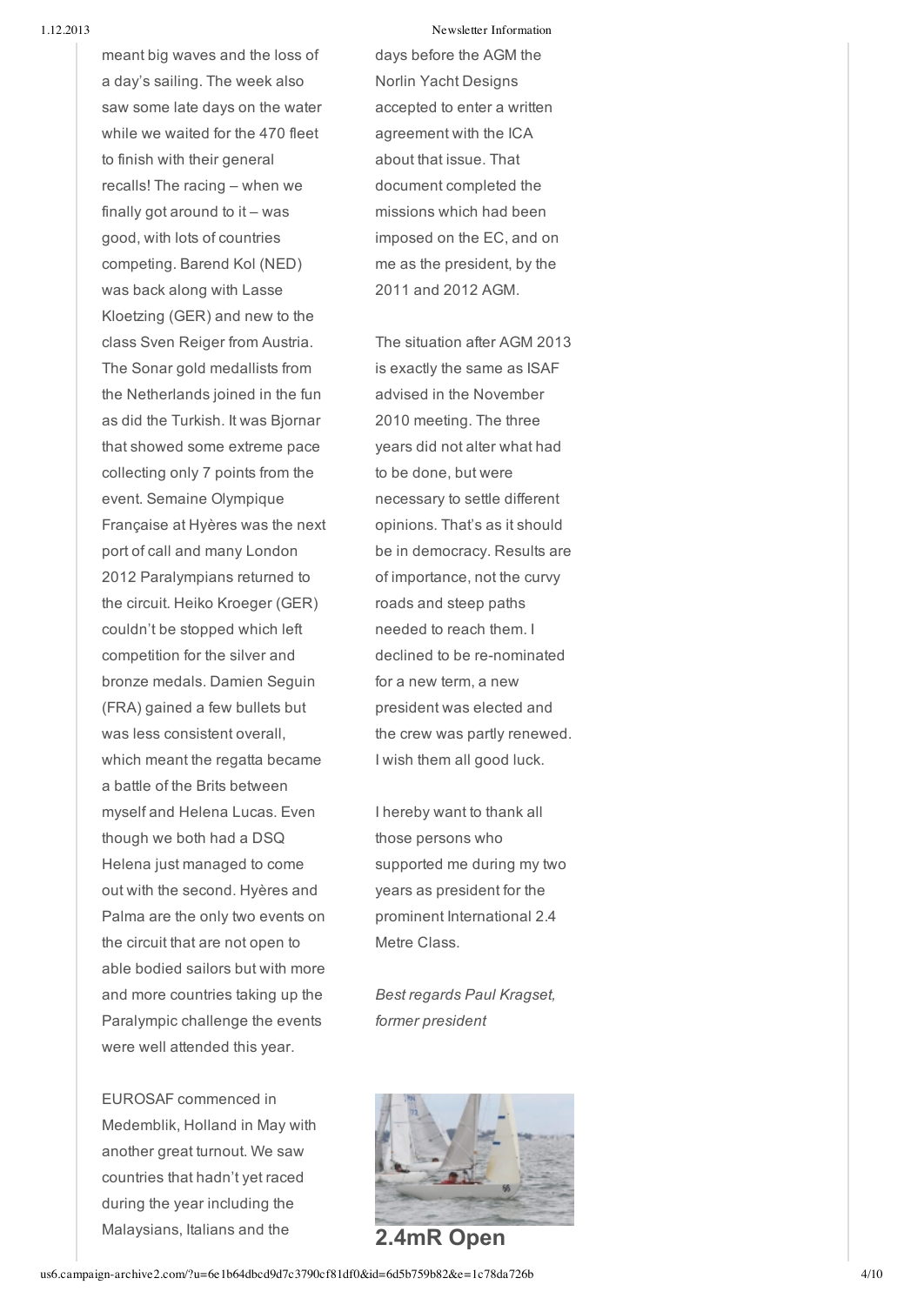1.12.2013 Newsletter Information

meant big waves and the loss of a day's sailing. The week also saw some late days on the water while we waited for the 470 fleet to finish with their general recalls! The racing – when we finally got around to it – was good, with lots of countries competing. Barend Kol (NED) was back along with Lasse Kloetzing (GER) and new to the class Sven Reiger from Austria. The Sonar gold medallists from the Netherlands joined in the fun as did the Turkish. It was Bjornar that showed some extreme pace collecting only 7 points from the event. Semaine Olympique Française at Hyères was the next port of call and many London 2012 Paralympians returned to the circuit. Heiko Kroeger (GER) couldn't be stopped which left competition for the silver and bronze medals. Damien Seguin (FRA) gained a few bullets but was less consistent overall, which meant the regatta became a battle of the Brits between myself and Helena Lucas. Even though we both had a DSQ Helena just managed to come out with the second. Hyères and Palma are the only two events on the circuit that are not open to able bodied sailors but with more and more countries taking up the Paralympic challenge the events were well attended this year.

EUROSAF commenced in Medemblik, Holland in May with another great turnout. We saw countries that hadn't yet raced during the year including the Malaysians, Italians and the

days before the AGM the Norlin Yacht Designs accepted to enter a written agreement with the ICA about that issue. That document completed the missions which had been imposed on the EC, and on me as the president, by the 2011 and 2012 AGM.

The situation after AGM 2013 is exactly the same as ISAF advised in the November 2010 meeting. The three years did not alter what had to be done, but were necessary to settle different opinions. That's as it should be in democracy. Results are of importance, not the curvy roads and steep paths needed to reach them. I declined to be re-nominated for a new term, a new president was elected and the crew was partly renewed. I wish them all good luck.

I hereby want to thank all those persons who supported me during my two years as president for the prominent International 2.4 Metre Class.

*Best regards Paul Kragset, former president*



**2.4mR Open**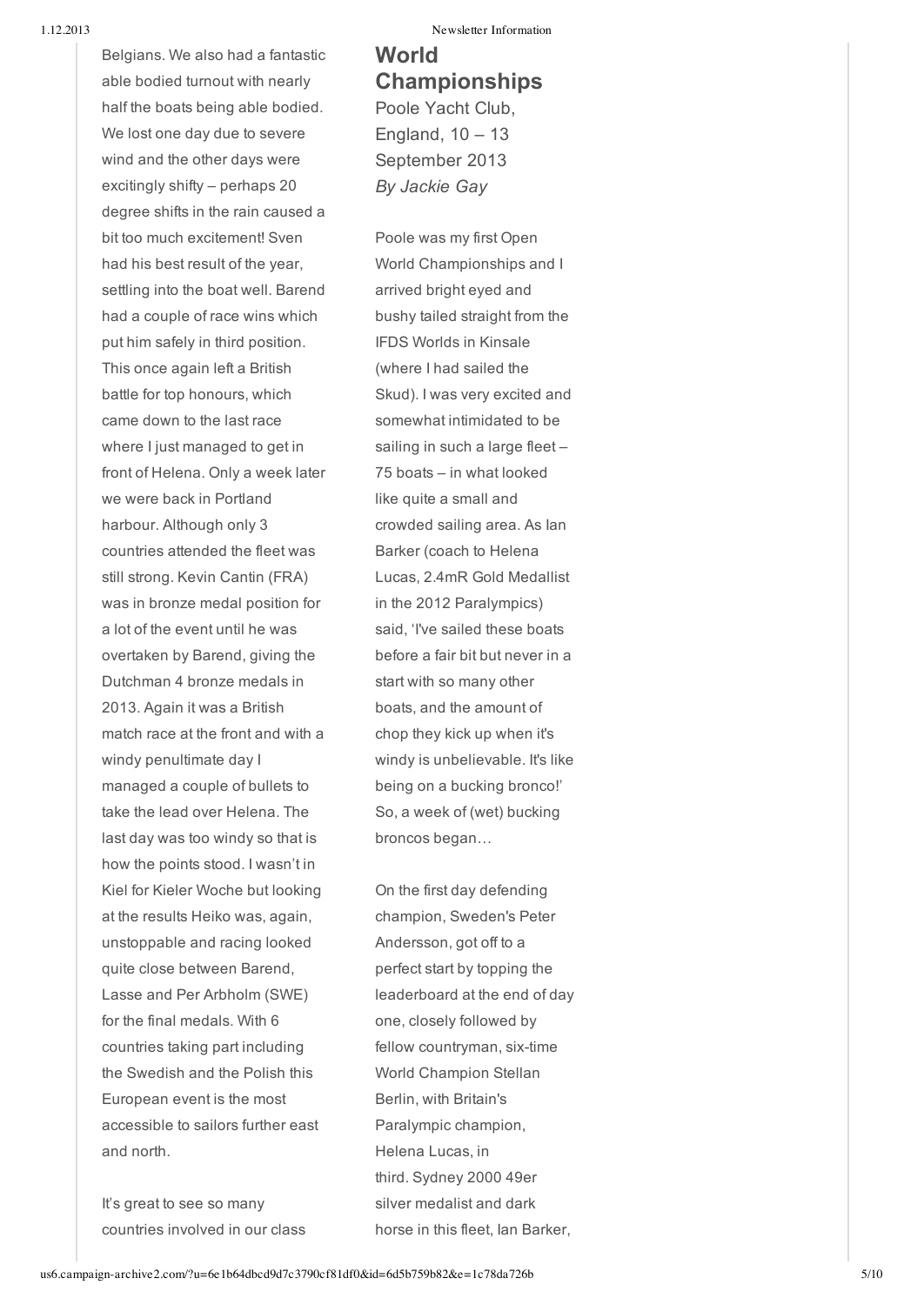Belgians. We also had a fantastic able bodied turnout with nearly half the boats being able bodied. We lost one day due to severe wind and the other days were excitingly shifty – perhaps 20 degree shifts in the rain caused a bit too much excitement! Sven had his best result of the year, settling into the boat well. Barend had a couple of race wins which put him safely in third position. This once again left a British battle for top honours, which came down to the last race where I just managed to get in front of Helena. Only a week later we were back in Portland harbour. Although only 3 countries attended the fleet was still strong. Kevin Cantin (FRA) was in bronze medal position for a lot of the event until he was overtaken by Barend, giving the Dutchman 4 bronze medals in 2013. Again it was a British match race at the front and with a windy penultimate day I managed a couple of bullets to take the lead over Helena. The last day was too windy so that is how the points stood. I wasn't in Kiel for Kieler Woche but looking at the results Heiko was, again, unstoppable and racing looked quite close between Barend, Lasse and Per Arbholm (SWE) for the final medals. With 6 countries taking part including the Swedish and the Polish this European event is the most accessible to sailors further east and north.

It's great to see so many countries involved in our class

1.12.2013 Newsletter Information

# **World Championships** Poole Yacht Club, England,  $10 - 13$ September 2013 *By Jackie Gay*

Poole was my first Open World Championships and I arrived bright eyed and bushy tailed straight from the IFDS Worlds in Kinsale (where I had sailed the Skud). I was very excited and somewhat intimidated to be sailing in such a large fleet-75 boats – in what looked like quite a small and crowded sailing area. As Ian Barker (coach to Helena Lucas, 2.4mR Gold Medallist in the 2012 Paralympics) said, 'I've sailed these boats before a fair bit but never in a start with so many other boats, and the amount of chop they kick up when it's windy is unbelievable. It's like being on a bucking bronco!' So, a week of (wet) bucking broncos began…

On the first day defending champion, Sweden's Peter Andersson, got off to a perfect start by topping the leaderboard at the end of day one, closely followed by fellow countryman, six-time World Champion Stellan Berlin, with Britain's Paralympic champion, Helena Lucas, in third. Sydney 2000 49er silver medalist and dark horse in this fleet, Ian Barker,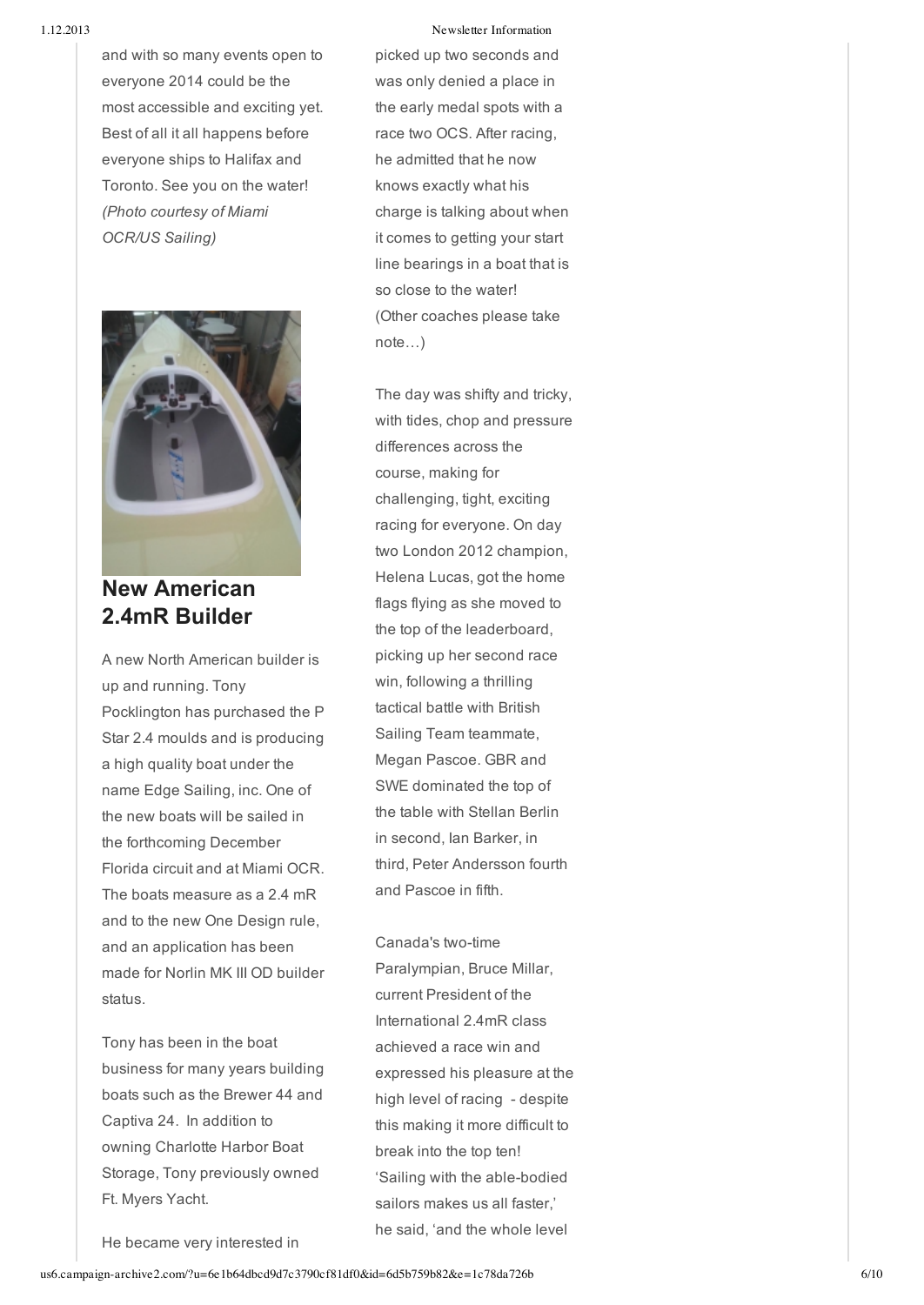and with so many events open to everyone 2014 could be the most accessible and exciting yet. Best of all it all happens before everyone ships to Halifax and Toronto. See you on the water! *(Photo courtesy of Miami OCR/US Sailing)*



**New American 2.4mR Builder**

A new North American builder is up and running. Tony Pocklington has purchased the P Star 2.4 moulds and is producing a high quality boat under the name Edge Sailing, inc. One of the new boats will be sailed in the forthcoming December Florida circuit and at Miami OCR. The boats measure as a 2.4 mR and to the new One Design rule, and an application has been made for Norlin MK III OD builder status.

Tony has been in the boat business for many years building boats such as the Brewer 44 and Captiva 24. In addition to owning Charlotte Harbor Boat Storage, Tony previously owned Ft. Myers Yacht.

#### 1.12.2013 Newsletter Information

picked up two seconds and was only denied a place in the early medal spots with a race two OCS. After racing, he admitted that he now knows exactly what his charge is talking about when it comes to getting your start line bearings in a boat that is so close to the water! (Other coaches please take note…)

The day was shifty and tricky, with tides, chop and pressure differences across the course, making for challenging, tight, exciting racing for everyone. On day two London 2012 champion, Helena Lucas, got the home flags flying as she moved to the top of the leaderboard, picking up her second race win, following a thrilling tactical battle with British Sailing Team teammate, Megan Pascoe. GBR and SWE dominated the top of the table with Stellan Berlin in second, Ian Barker, in third, Peter Andersson fourth and Pascoe in fifth.

#### Canada's two-time

Paralympian, Bruce Millar, current President of the International 2.4mR class achieved a race win and expressed his pleasure at the high level of racing - despite this making it more difficult to break into the top ten! 'Sailing with the able-bodied sailors makes us all faster,' he said, 'and the whole level

He became very interested in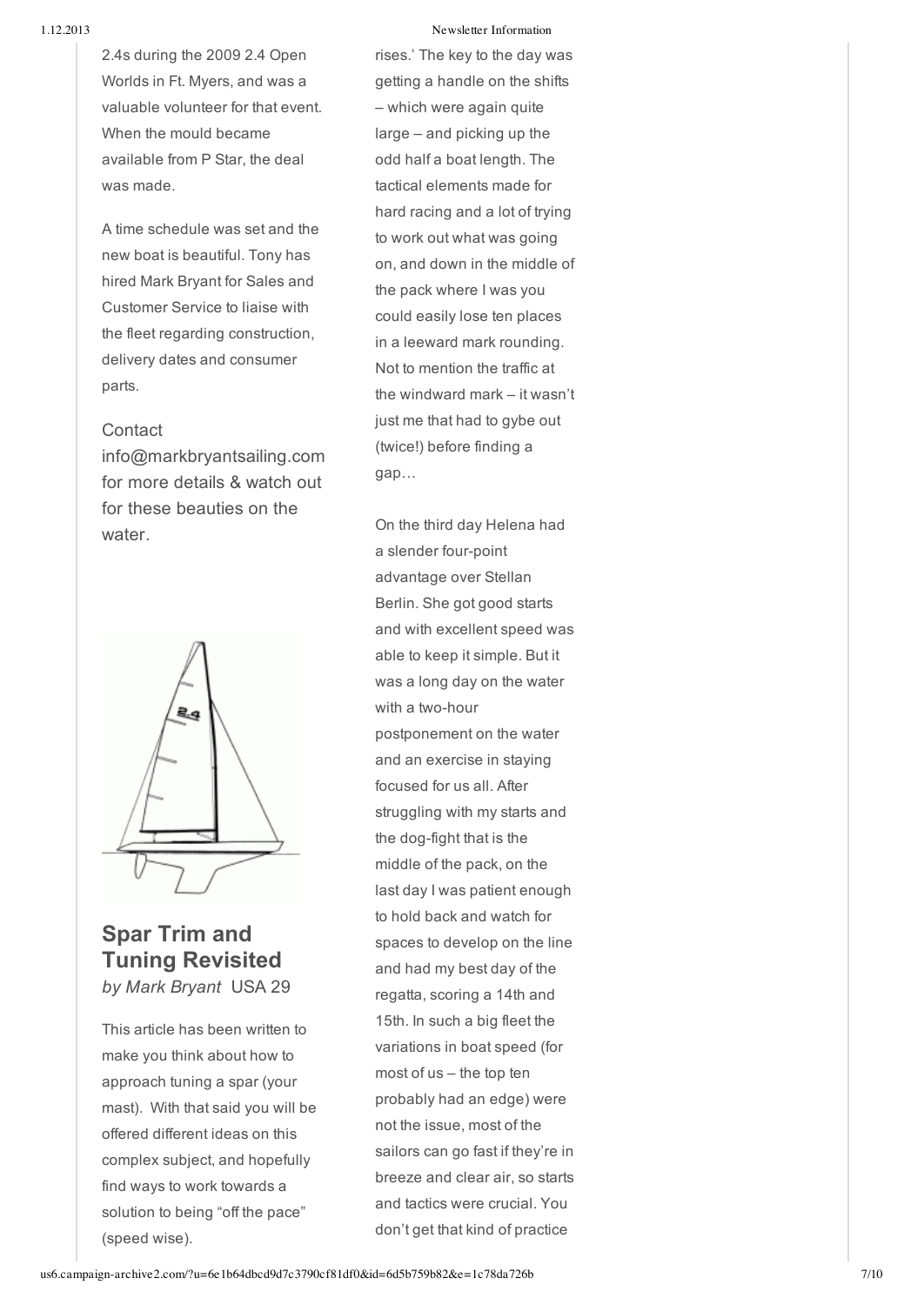Newsletter Information

2.4s during the 2009 2.4 Open Worlds in Ft. Myers, and was a valuable volunteer for that event. When the mould became available from P Star, the deal was made.

A time schedule was set and the new boat is beautiful. Tony has hired Mark Bryant for Sales and Customer Service to liaise with the fleet regarding construction, delivery dates and consumer parts.

## **Contact**

info@markbryantsailing.com for more details & watch out for these beauties on the water.



# **Spar Trim and Tuning Revisited** *by Mark Bryant* USA 29

This article has been written to make you think about how to approach tuning a spar (your mast). With that said you will be offered different ideas on this complex subject, and hopefully find ways to work towards a solution to being "off the pace"

es.' The key to the day was getting a handle on the shifts – which were again quite large – and picking up the odd half a boat length. The tactical elements made for hard racing and a lot of tryin g to work out what was going on, and down in the middle of the pack where I was you could easily lose ten places in a leeward mark rounding. Not to mention the traffic at the windward mark – it wasn't just me that had to gybe out (twice!) before finding a gap…

On the third day Helena had a slender four-point advantage over Stellan Berlin. She got good starts and with excellent speed was able to keep it simple. But it was a long day on the water with a two-hour postponement on the water and an exercise in staying focused for us all. After struggling with my starts and the dog-fight that is the middle of the pack, on the last day I was patient enough to hold back and watch for spaces to develop on the line and had my best day of the regatta, scoring a 14th and 15th. In such a big fleet the variations in boat speed (for most of us – the top ten probably had an edge) were not the issue, most of the sailors can go fast if they're in breeze and clear air, so starts and tactics were crucial. You don't get that kind of practice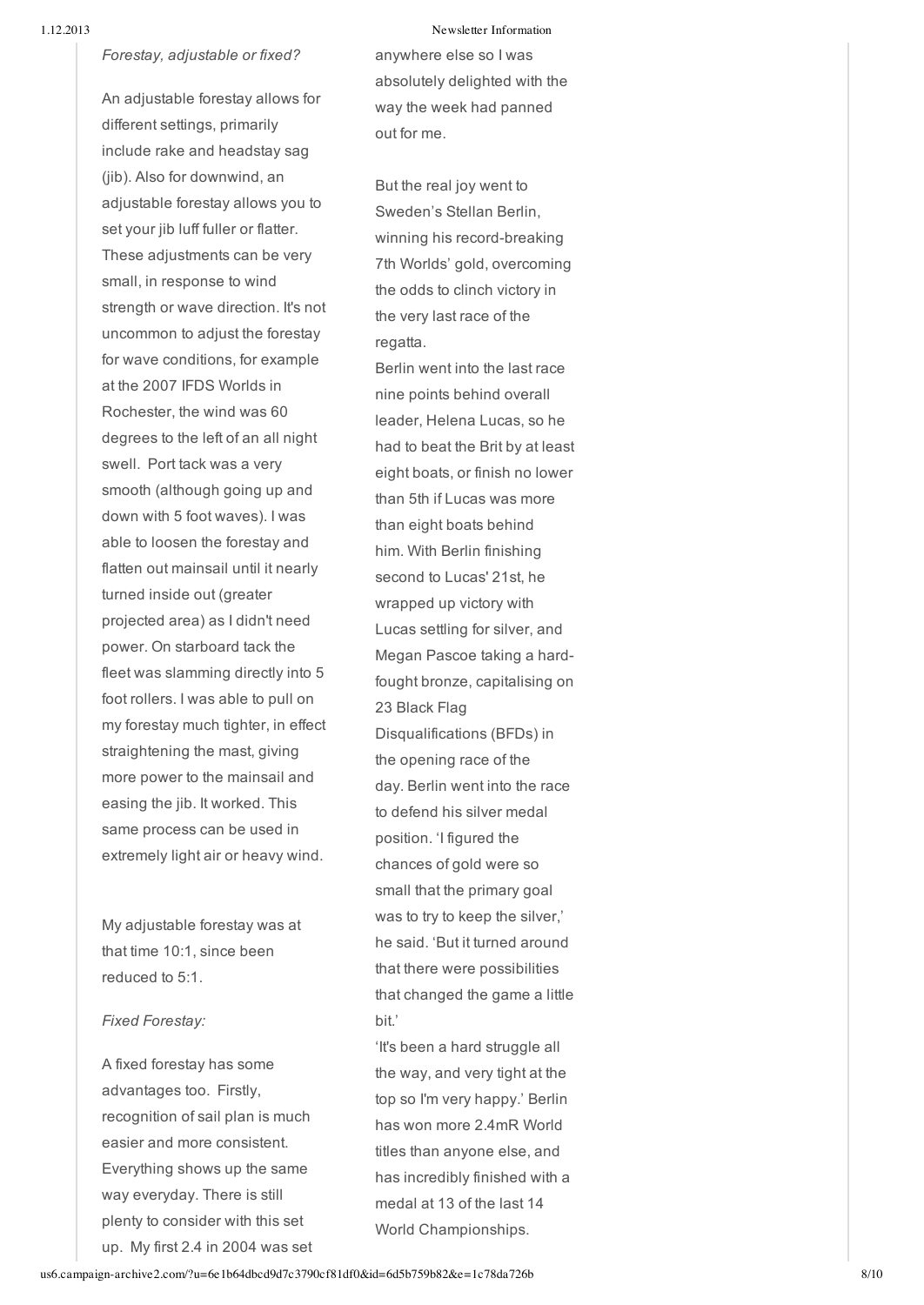#### *Forestay, adjustable or fixed?*

An adjustable forestay allows for different settings, primarily include rake and headstay s a g (jib). Also for downwind, an adjustable forestay allows you to set your jib luff fuller or flatter. These adjustments can be very small, in response to wind strength or wave direction. It's not uncommon to adjust the forestay for wave conditions, for example at the 2007 IFDS Worlds in Rochester, the wind was 60 degrees to the left of an all night swell. Port tack was a very smooth (although going up and down with 5 foot waves). I was able to loosen the forestay and flatten out mainsail until it nearly turned inside out (greater projected area) as I didn't need power. On starboard tack the fleet was slamming directly into 5 foot rollers. I was able to pull on my forestay much tighter, in effect straightening the mast, giving more power to the mainsail and easing the jib. It worked. This same process can be used in extremely light air or heavy wind.

My adjustable forestay was at that time 10:1, since been reduced to 5:1.

#### *Fixed Forestay:*

A fixed forestay has some advantages too. Firstly, recognition of sail plan is much easier and more consistent. Everything shows up the same way everyday. There is still plenty to consider with this set up. My first 2.4 in 2004 was set

#### Newsletter Information

anywhere else so I was absolutely delighted with the way the week had panned out for me.

But the real joy went to Sweden's Stellan Berlin, winning his record-breaking 7th Worlds' gold, overcoming the odds to clinch victory in the very last race of the regatta.

Berlin went into the last race nine points behind overall leader, Helena Lucas, so h e had to beat the Brit by at least eight boats, or finish no lower than 5th if Lucas was more than eight boats behind him. With Berlin finishing second to Lucas' 21st, he wrapped up victory with Lucas settling for silver, and Megan Pascoe taking a hardfought bronze, capitalising on 23 Black Flag Disqualifications (BFDs) in the opening race of the day. Berlin went into the race to defend his silver medal position. 'I figured the chances of gold were so small that the primary goal was to try to keep the silve r,' he said. 'But it turned around that there were possibilities that changed the game a little bit.'

'It's been a hard struggle all the way, and very tight at the top so I'm very happy.' Berlin has won more 2.4mR World titles than anyone else, and has incredibly finished with a medal at 13 of the last 14 World Championships.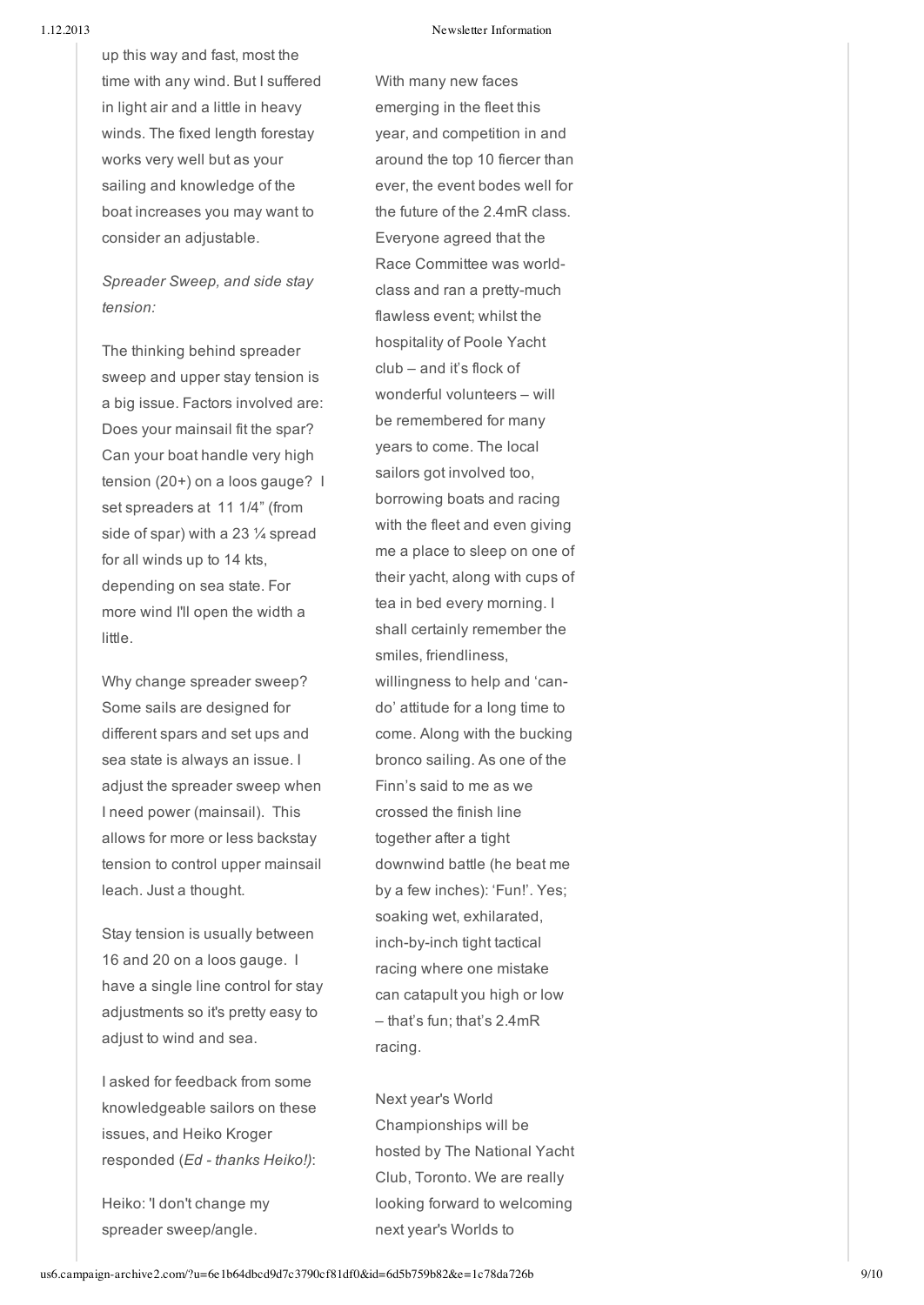up this way and fast, most the time with any wind. But I suffered in light air and a little in heavy winds. The fixed length forestay works very well but as your sailing and knowledge of the boat increases you may want to consider an adjustable.

# *Spreader Sweep, and side stay tension:*

The thinking behind spreader sweep and upper stay tension is a big issue. Factors involved are: Does your mainsail fit the spar? Can your boat handle very high tension (20+) on a loos gauge? I set spreaders at 11 1/4" (from side of spar) with a 23 ¼ spread for all winds up to 14 kts, depending on sea state. For more wind I'll open the width a little. time with any wind. But I suffered<br>
in light air and a little in heavy<br>
works. The fixed length forestay<br>
works very well but as your<br>
sailing and knowledge of the<br>
boat increases you may want to<br>
the boat increases you ma

Why change spreader sweep? Some sails are designed for different spars and set ups and sea state is always an issue. I adjust the spreader sweep when I need power (mainsail). This allows for more or less backstay tension to control upper mainsail leach. Just a thought.

Stay tension is usually between 16 and 20 on a loos gauge. I have a single line control for stay adjustments so it's pretty easy to adjust to wind and sea.

I asked for feedback from some knowledgeable sailors on these issues, and Heiko Kroger responded (*Ed thanks Heiko!)*:

Heiko: 'I don't change my

h many new faces emerging in the fleet this year, and competition in and around the top 10 fiercer than ever, the event bodes well for the future of the 2.4mR class. Everyone agreed that the Race Committee was world class and ran a pretty-much flawless event; whilst the hospitality of Poole Yacht club – and it's flock of wonderful volunteers – will be remembered for many years to come. The local sailors got involved too, borrowing boats and racing with the fleet and even giving me a place to sleep on one o f their yacht, along with cups of tea in bed every morning. I shall certainly remember th e smiles, friendliness, willingness to help and 'cando' attitude for a long time to come. Along with the bucking bronco sailing. As one of the Finn's said to me as we c r o s s e d t h e finis h lin e together after a tight downwind battle (he beat me by a few inches): 'Fun!'. Yes; soaking wet, exhilarated, inch-by-inch tight tactical racing where one mistake can catapult you high or low – that's fun; that's 2.4mR racing.

Next year's World Championships will be hosted by The National Yach t Club, Toronto. We are really looking forward to welcomin g next year's Worlds to